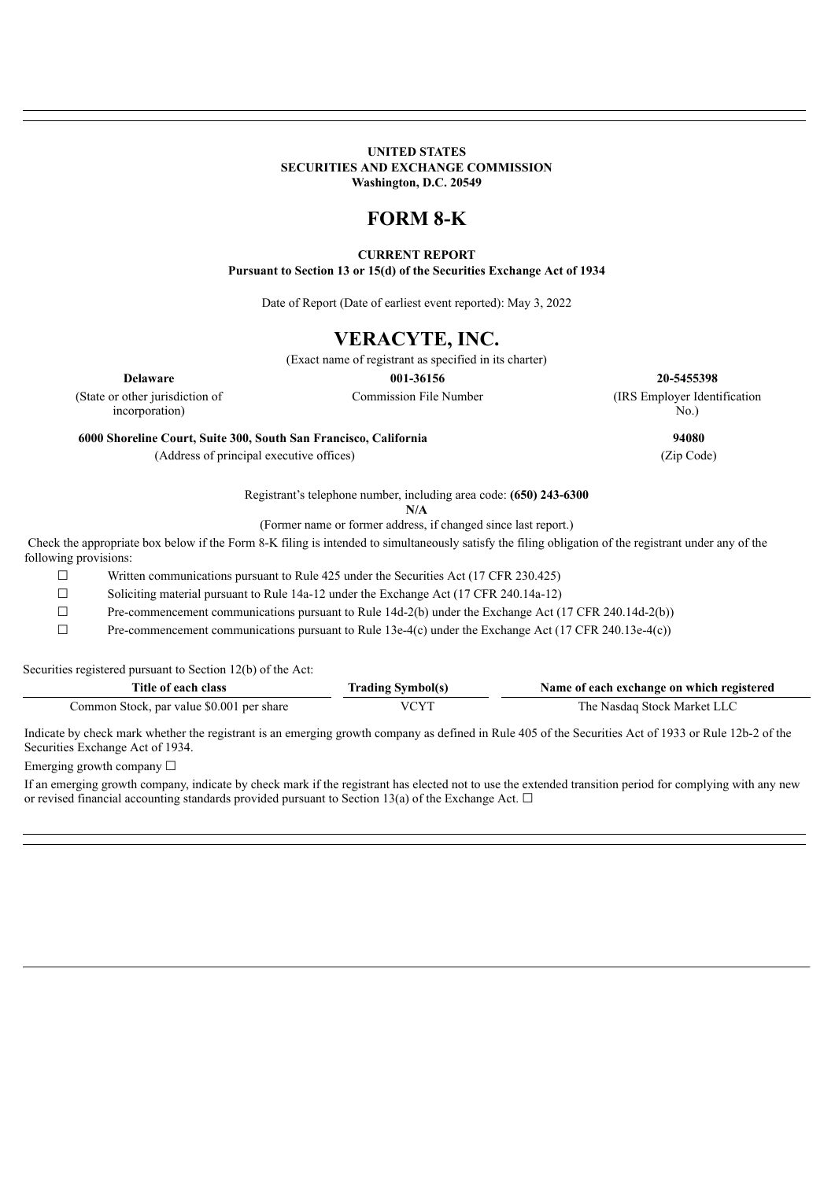### **UNITED STATES SECURITIES AND EXCHANGE COMMISSION Washington, D.C. 20549**

# **FORM 8-K**

### **CURRENT REPORT**

**Pursuant to Section 13 or 15(d) of the Securities Exchange Act of 1934**

Date of Report (Date of earliest event reported): May 3, 2022

# **VERACYTE, INC.**

(Exact name of registrant as specified in its charter)

**Delaware 001-36156 20-5455398**

Commission File Number (IRS Employer Identification

(State or other jurisdiction of incorporation)

**6000 Shoreline Court, Suite 300, South San Francisco, California 94080**

(Address of principal executive offices) (Zip Code)

No.)

Registrant's telephone number, including area code: **(650) 243-6300**

**N/A**

(Former name or former address, if changed since last report.)

Check the appropriate box below if the Form 8-K filing is intended to simultaneously satisfy the filing obligation of the registrant under any of the following provisions:

☐ Written communications pursuant to Rule 425 under the Securities Act (17 CFR 230.425)

 $\Box$  Soliciting material pursuant to Rule 14a-12 under the Exchange Act (17 CFR 240.14a-12)

☐ Pre-commencement communications pursuant to Rule 14d-2(b) under the Exchange Act (17 CFR 240.14d-2(b))

☐ Pre-commencement communications pursuant to Rule 13e-4(c) under the Exchange Act (17 CFR 240.13e-4(c))

Securities registered pursuant to Section 12(b) of the Act:

| Title of each class                       | <b>Trading Symbol(s)</b> | Name of each exchange on which registered |
|-------------------------------------------|--------------------------|-------------------------------------------|
| Common Stock, par value \$0.001 per share | VCYT                     | The Nasdag Stock Market LLC               |

Indicate by check mark whether the registrant is an emerging growth company as defined in Rule 405 of the Securities Act of 1933 or Rule 12b-2 of the Securities Exchange Act of 1934.

Emerging growth company  $\Box$ 

If an emerging growth company, indicate by check mark if the registrant has elected not to use the extended transition period for complying with any new or revised financial accounting standards provided pursuant to Section 13(a) of the Exchange Act.  $\Box$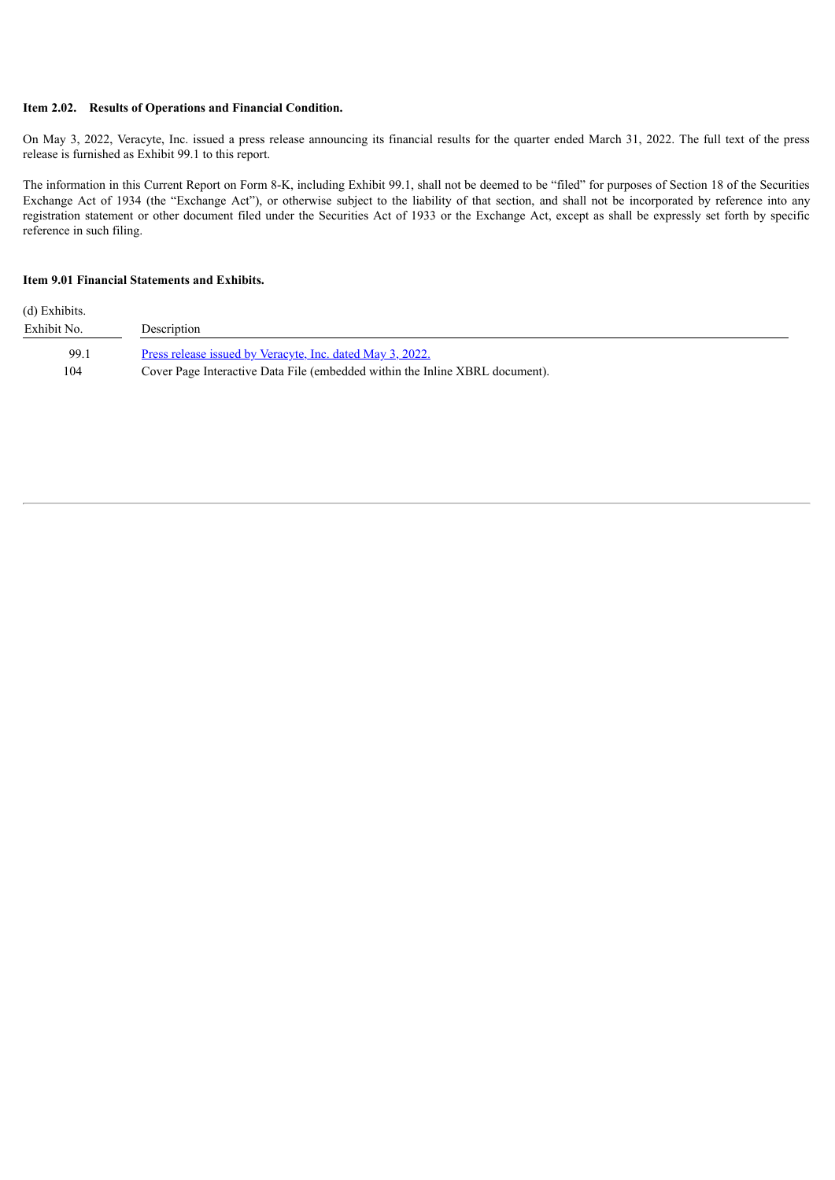### **Item 2.02. Results of Operations and Financial Condition.**

On May 3, 2022, Veracyte, Inc. issued a press release announcing its financial results for the quarter ended March 31, 2022. The full text of the press release is furnished as Exhibit 99.1 to this report.

The information in this Current Report on Form 8-K, including Exhibit 99.1, shall not be deemed to be "filed" for purposes of Section 18 of the Securities Exchange Act of 1934 (the "Exchange Act"), or otherwise subject to the liability of that section, and shall not be incorporated by reference into any registration statement or other document filed under the Securities Act of 1933 or the Exchange Act, except as shall be expressly set forth by specific reference in such filing.

#### **Item 9.01 Financial Statements and Exhibits.**

| (d) Exhibits. |                                                                              |
|---------------|------------------------------------------------------------------------------|
| Exhibit No.   | Description                                                                  |
| 99.1          | <u>Press release issued by Veracyte, Inc. dated May 3, 2022.</u>             |
| 104           | Cover Page Interactive Data File (embedded within the Inline XBRL document). |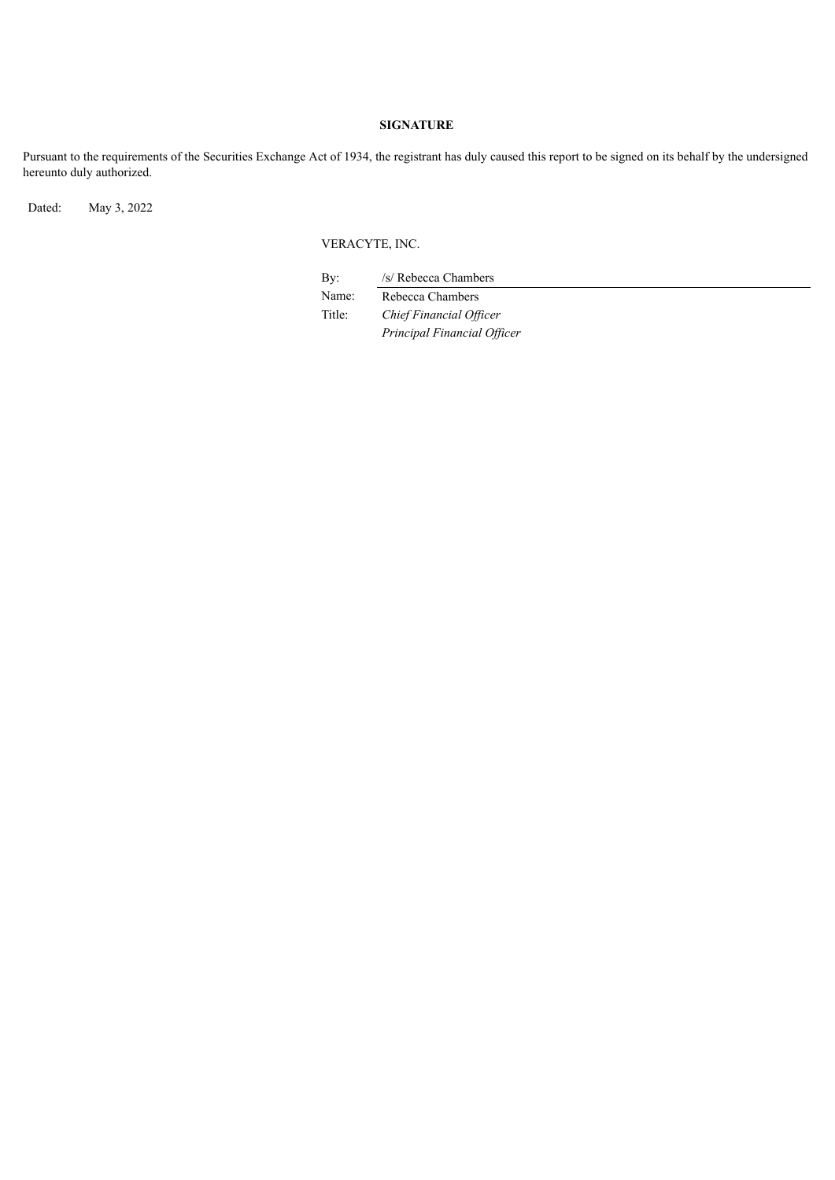### **SIGNATURE**

Pursuant to the requirements of the Securities Exchange Act of 1934, the registrant has duly caused this report to be signed on its behalf by the undersigned hereunto duly authorized.

Dated: May 3, 2022

# VERACYTE, INC.

By: /s/ Rebecca Chambers

*Principal Financial Of icer*

Name: Rebecca Chambers Title: *Chief Financial Of icer*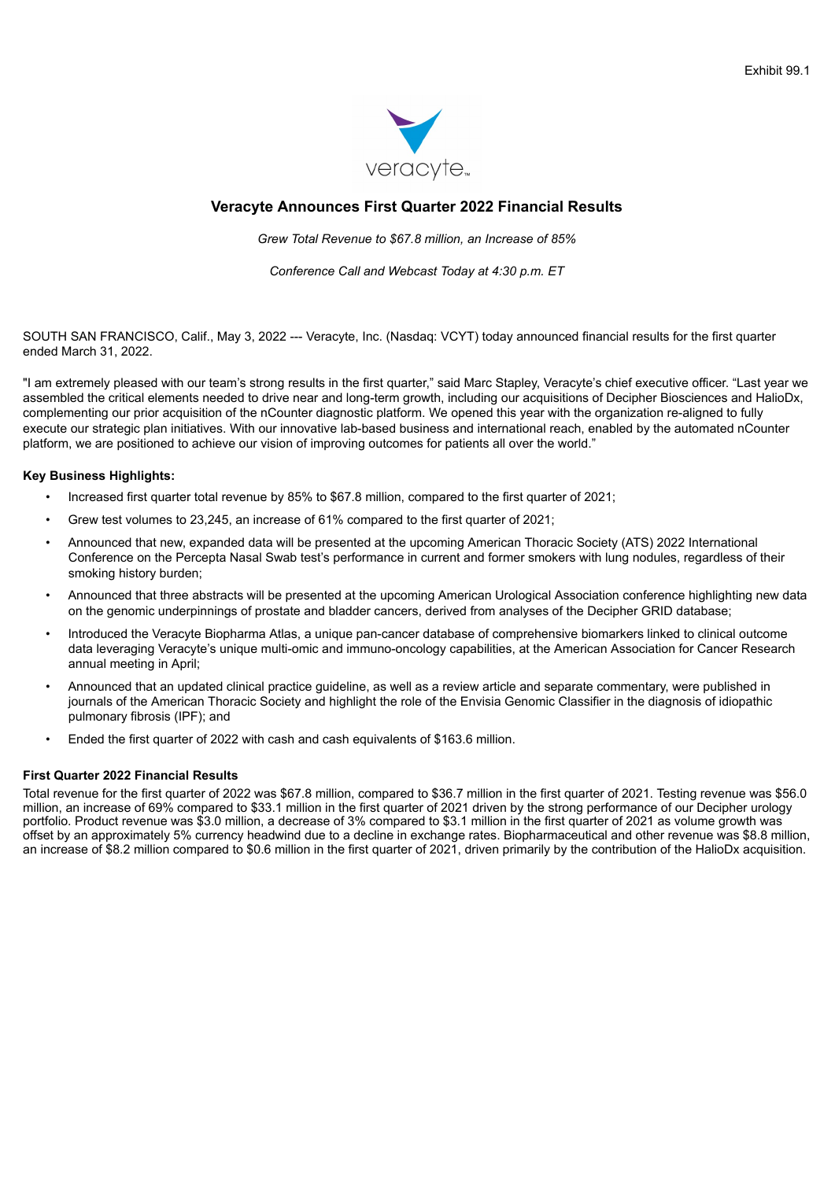

# <span id="page-3-0"></span>**Veracyte Announces First Quarter 2022 Financial Results**

*Grew Total Revenue to \$67.8 million, an Increase of 85%*

*Conference Call and Webcast Today at 4:30 p.m. ET*

SOUTH SAN FRANCISCO, Calif., May 3, 2022 --- Veracyte, Inc. (Nasdaq: VCYT) today announced financial results for the first quarter ended March 31, 2022.

"I am extremely pleased with our team's strong results in the first quarter," said Marc Stapley, Veracyte's chief executive officer. "Last year we assembled the critical elements needed to drive near and long-term growth, including our acquisitions of Decipher Biosciences and HalioDx, complementing our prior acquisition of the nCounter diagnostic platform. We opened this year with the organization re-aligned to fully execute our strategic plan initiatives. With our innovative lab-based business and international reach, enabled by the automated nCounter platform, we are positioned to achieve our vision of improving outcomes for patients all over the world."

### **Key Business Highlights:**

- Increased first quarter total revenue by 85% to \$67.8 million, compared to the first quarter of 2021;
- Grew test volumes to 23,245, an increase of 61% compared to the first quarter of 2021;
- Announced that new, expanded data will be presented at the upcoming American Thoracic Society (ATS) 2022 International Conference on the Percepta Nasal Swab test's performance in current and former smokers with lung nodules, regardless of their smoking history burden;
- Announced that three abstracts will be presented at the upcoming American Urological Association conference highlighting new data on the genomic underpinnings of prostate and bladder cancers, derived from analyses of the Decipher GRID database;
- Introduced the Veracyte Biopharma Atlas, a unique pan-cancer database of comprehensive biomarkers linked to clinical outcome data leveraging Veracyte's unique multi-omic and immuno-oncology capabilities, at the American Association for Cancer Research annual meeting in April;
- Announced that an updated clinical practice guideline, as well as a review article and separate commentary, were published in journals of the American Thoracic Society and highlight the role of the Envisia Genomic Classifier in the diagnosis of idiopathic pulmonary fibrosis (IPF); and
- Ended the first quarter of 2022 with cash and cash equivalents of \$163.6 million.

### **First Quarter 2022 Financial Results**

Total revenue for the first quarter of 2022 was \$67.8 million, compared to \$36.7 million in the first quarter of 2021. Testing revenue was \$56.0 million, an increase of 69% compared to \$33.1 million in the first quarter of 2021 driven by the strong performance of our Decipher urology portfolio. Product revenue was \$3.0 million, a decrease of 3% compared to \$3.1 million in the first quarter of 2021 as volume growth was offset by an approximately 5% currency headwind due to a decline in exchange rates. Biopharmaceutical and other revenue was \$8.8 million, an increase of \$8.2 million compared to \$0.6 million in the first quarter of 2021, driven primarily by the contribution of the HalioDx acquisition.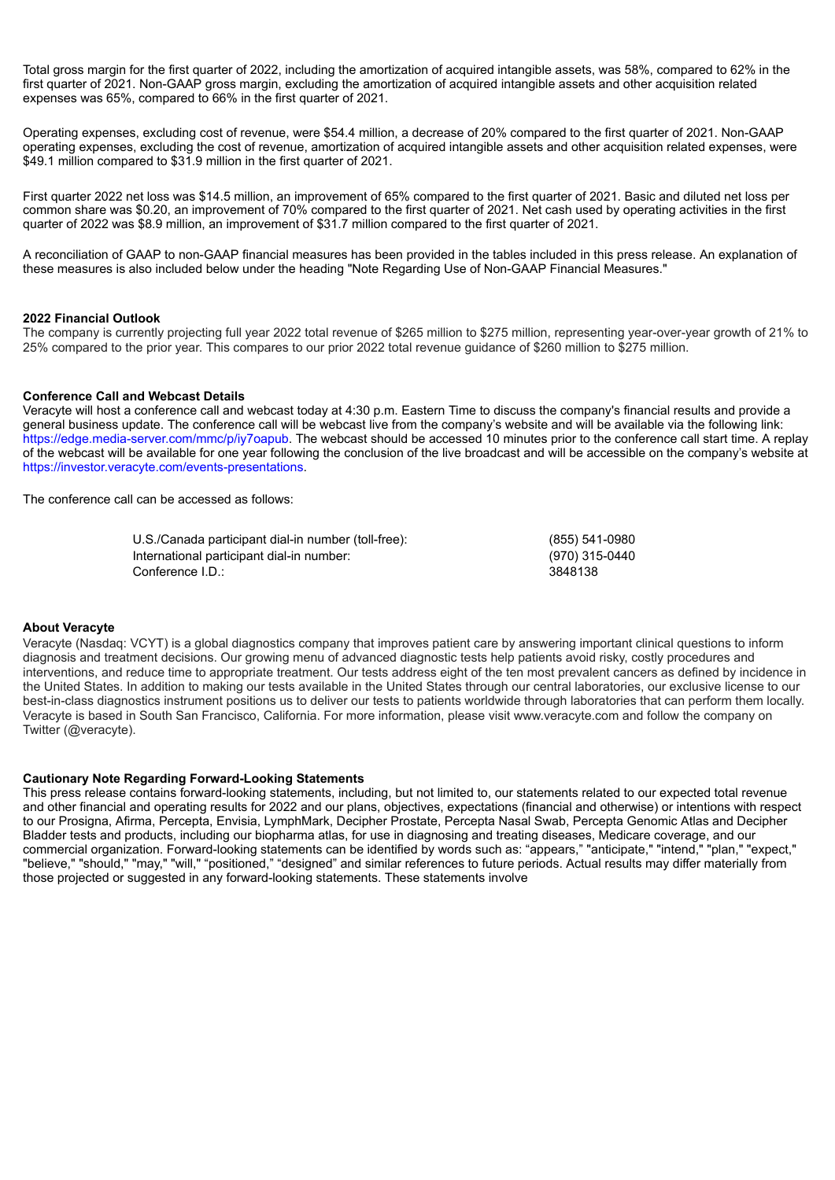Total gross margin for the first quarter of 2022, including the amortization of acquired intangible assets, was 58%, compared to 62% in the first quarter of 2021. Non-GAAP gross margin, excluding the amortization of acquired intangible assets and other acquisition related expenses was 65%, compared to 66% in the first quarter of 2021.

Operating expenses, excluding cost of revenue, were \$54.4 million, a decrease of 20% compared to the first quarter of 2021. Non-GAAP operating expenses, excluding the cost of revenue, amortization of acquired intangible assets and other acquisition related expenses, were \$49.1 million compared to \$31.9 million in the first quarter of 2021.

First quarter 2022 net loss was \$14.5 million, an improvement of 65% compared to the first quarter of 2021. Basic and diluted net loss per common share was \$0.20, an improvement of 70% compared to the first quarter of 2021. Net cash used by operating activities in the first quarter of 2022 was \$8.9 million, an improvement of \$31.7 million compared to the first quarter of 2021.

A reconciliation of GAAP to non-GAAP financial measures has been provided in the tables included in this press release. An explanation of these measures is also included below under the heading "Note Regarding Use of Non-GAAP Financial Measures."

#### **2022 Financial Outlook**

The company is currently projecting full year 2022 total revenue of \$265 million to \$275 million, representing year-over-year growth of 21% to 25% compared to the prior year. This compares to our prior 2022 total revenue guidance of \$260 million to \$275 million.

### **Conference Call and Webcast Details**

Veracyte will host a conference call and webcast today at 4:30 p.m. Eastern Time to discuss the company's financial results and provide a general business update. The conference call will be webcast live from the company's website and will be available via the following link: https://edge.media-server.com/mmc/p/iy7oapub. The webcast should be accessed 10 minutes prior to the conference call start time. A replay of the webcast will be available for one year following the conclusion of the live broadcast and will be accessible on the company's website at https://investor.veracyte.com/events-presentations.

The conference call can be accessed as follows:

| U.S./Canada participant dial-in number (toll-free): | (855) 541-0980 |
|-----------------------------------------------------|----------------|
| International participant dial-in number:           | (970) 315-0440 |
| Conference I.D.:                                    | 3848138        |

#### **About Veracyte**

Veracyte (Nasdaq: VCYT) is a global diagnostics company that improves patient care by answering important clinical questions to inform diagnosis and treatment decisions. Our growing menu of advanced diagnostic tests help patients avoid risky, costly procedures and interventions, and reduce time to appropriate treatment. Our tests address eight of the ten most prevalent cancers as defined by incidence in the United States. In addition to making our tests available in the United States through our central laboratories, our exclusive license to our best-in-class diagnostics instrument positions us to deliver our tests to patients worldwide through laboratories that can perform them locally. Veracyte is based in South San Francisco, California. For more information, please visit www.veracyte.com and follow the company on Twitter (@veracyte).

#### **Cautionary Note Regarding Forward-Looking Statements**

This press release contains forward-looking statements, including, but not limited to, our statements related to our expected total revenue and other financial and operating results for 2022 and our plans, objectives, expectations (financial and otherwise) or intentions with respect to our Prosigna, Afirma, Percepta, Envisia, LymphMark, Decipher Prostate, Percepta Nasal Swab, Percepta Genomic Atlas and Decipher Bladder tests and products, including our biopharma atlas, for use in diagnosing and treating diseases, Medicare coverage, and our commercial organization. Forward-looking statements can be identified by words such as: "appears," "anticipate," "intend," "plan," "expect," "believe," "should," "may," "will," "positioned," "designed" and similar references to future periods. Actual results may differ materially from those projected or suggested in any forward-looking statements. These statements involve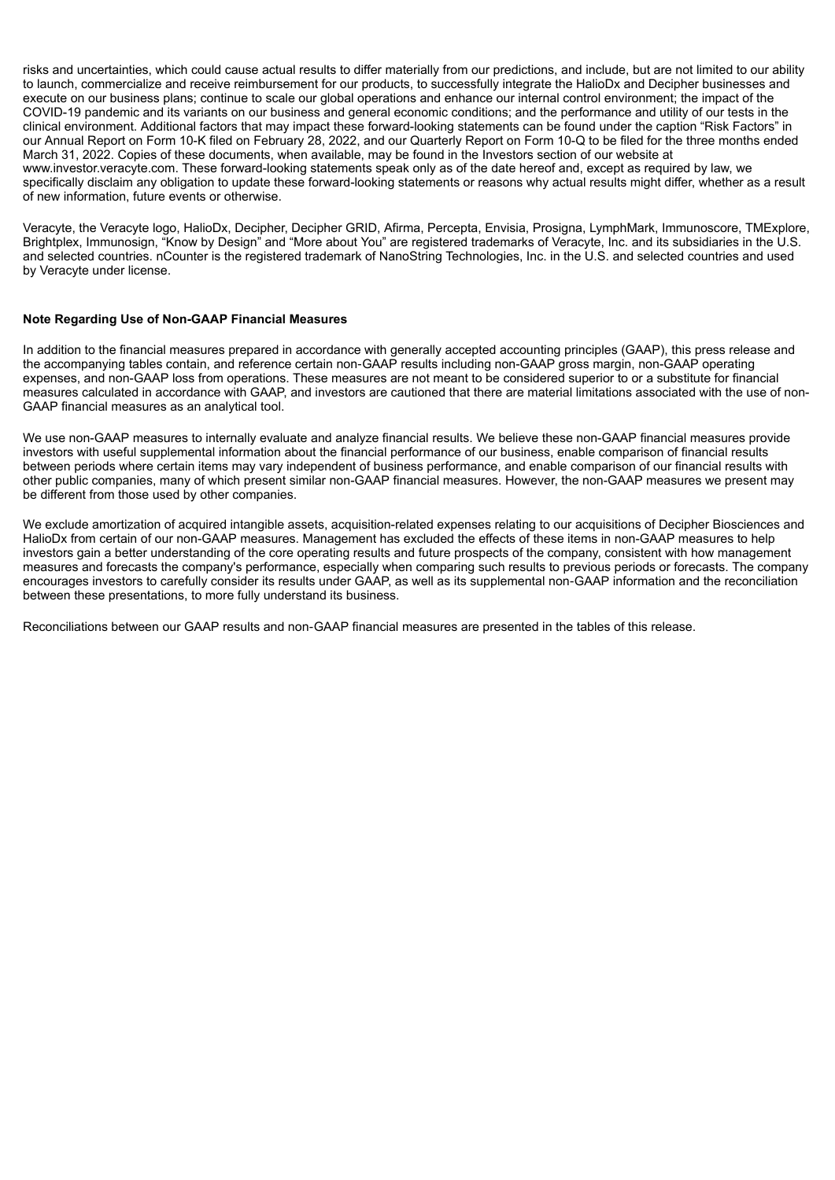risks and uncertainties, which could cause actual results to differ materially from our predictions, and include, but are not limited to our ability to launch, commercialize and receive reimbursement for our products, to successfully integrate the HalioDx and Decipher businesses and execute on our business plans; continue to scale our global operations and enhance our internal control environment; the impact of the COVID-19 pandemic and its variants on our business and general economic conditions; and the performance and utility of our tests in the clinical environment. Additional factors that may impact these forward-looking statements can be found under the caption "Risk Factors" in our Annual Report on Form 10-K filed on February 28, 2022, and our Quarterly Report on Form 10-Q to be filed for the three months ended March 31, 2022. Copies of these documents, when available, may be found in the Investors section of our website at www.investor.veracyte.com. These forward-looking statements speak only as of the date hereof and, except as required by law, we specifically disclaim any obligation to update these forward-looking statements or reasons why actual results might differ, whether as a result of new information, future events or otherwise.

Veracyte, the Veracyte logo, HalioDx, Decipher, Decipher GRID, Afirma, Percepta, Envisia, Prosigna, LymphMark, Immunoscore, TMExplore, Brightplex, Immunosign, "Know by Design" and "More about You" are registered trademarks of Veracyte, Inc. and its subsidiaries in the U.S. and selected countries. nCounter is the registered trademark of NanoString Technologies, Inc. in the U.S. and selected countries and used by Veracyte under license.

### **Note Regarding Use of Non-GAAP Financial Measures**

In addition to the financial measures prepared in accordance with generally accepted accounting principles (GAAP), this press release and the accompanying tables contain, and reference certain non‐GAAP results including non-GAAP gross margin, non-GAAP operating expenses, and non-GAAP loss from operations. These measures are not meant to be considered superior to or a substitute for financial measures calculated in accordance with GAAP, and investors are cautioned that there are material limitations associated with the use of non-GAAP financial measures as an analytical tool.

We use non-GAAP measures to internally evaluate and analyze financial results. We believe these non-GAAP financial measures provide investors with useful supplemental information about the financial performance of our business, enable comparison of financial results between periods where certain items may vary independent of business performance, and enable comparison of our financial results with other public companies, many of which present similar non-GAAP financial measures. However, the non-GAAP measures we present may be different from those used by other companies.

We exclude amortization of acquired intangible assets, acquisition-related expenses relating to our acquisitions of Decipher Biosciences and HalioDx from certain of our non-GAAP measures. Management has excluded the effects of these items in non-GAAP measures to help investors gain a better understanding of the core operating results and future prospects of the company, consistent with how management measures and forecasts the company's performance, especially when comparing such results to previous periods or forecasts. The company encourages investors to carefully consider its results under GAAP, as well as its supplemental non‐GAAP information and the reconciliation between these presentations, to more fully understand its business.

Reconciliations between our GAAP results and non‐GAAP financial measures are presented in the tables of this release.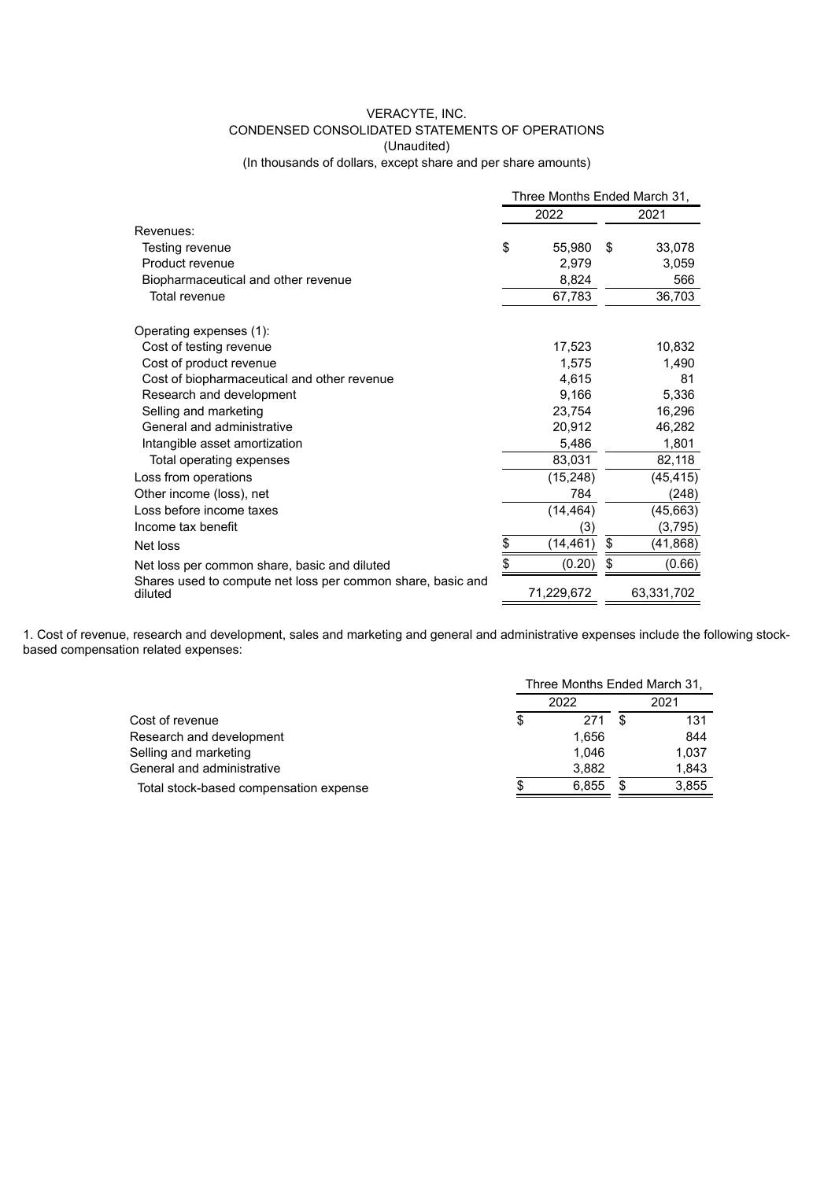# VERACYTE, INC. CONDENSED CONSOLIDATED STATEMENTS OF OPERATIONS (Unaudited)

(In thousands of dollars, except share and per share amounts)

|                                                                        | Three Months Ended March 31, |            |      |            |  |
|------------------------------------------------------------------------|------------------------------|------------|------|------------|--|
|                                                                        |                              | 2022       | 2021 |            |  |
| Revenues:                                                              |                              |            |      |            |  |
| Testing revenue                                                        | \$                           | 55,980     | \$   | 33,078     |  |
| Product revenue                                                        |                              | 2,979      |      | 3,059      |  |
| Biopharmaceutical and other revenue                                    |                              | 8,824      |      | 566        |  |
| Total revenue                                                          |                              | 67,783     |      | 36,703     |  |
| Operating expenses (1):                                                |                              |            |      |            |  |
| Cost of testing revenue                                                |                              | 17,523     |      | 10,832     |  |
| Cost of product revenue                                                |                              | 1,575      |      | 1,490      |  |
| Cost of biopharmaceutical and other revenue                            |                              | 4.615      |      | 81         |  |
| Research and development                                               |                              | 9,166      |      | 5,336      |  |
| Selling and marketing                                                  |                              | 23,754     |      | 16,296     |  |
| General and administrative                                             |                              | 20,912     |      | 46,282     |  |
| Intangible asset amortization                                          |                              | 5,486      |      | 1,801      |  |
| Total operating expenses                                               |                              | 83,031     |      | 82,118     |  |
| Loss from operations                                                   |                              | (15, 248)  |      | (45, 415)  |  |
| Other income (loss), net                                               |                              | 784        |      | (248)      |  |
| Loss before income taxes                                               |                              | (14, 464)  |      | (45, 663)  |  |
| Income tax benefit                                                     |                              | (3)        |      | (3,795)    |  |
| Net loss                                                               | \$                           | (14,461)   | \$   | (41, 868)  |  |
| Net loss per common share, basic and diluted                           | \$                           | (0.20)     | \$   | (0.66)     |  |
| Shares used to compute net loss per common share, basic and<br>diluted |                              | 71,229,672 |      | 63,331,702 |  |

1. Cost of revenue, research and development, sales and marketing and general and administrative expenses include the following stockbased compensation related expenses:

|                                        | Three Months Ended March 31, |       |  |       |  |  |
|----------------------------------------|------------------------------|-------|--|-------|--|--|
|                                        |                              | 2022  |  | 2021  |  |  |
| Cost of revenue                        | \$                           | 271   |  | 131   |  |  |
| Research and development               |                              | 1.656 |  | 844   |  |  |
| Selling and marketing                  |                              | 1.046 |  | 1,037 |  |  |
| General and administrative             |                              | 3.882 |  | 1,843 |  |  |
| Total stock-based compensation expense |                              | 6.855 |  | 3,855 |  |  |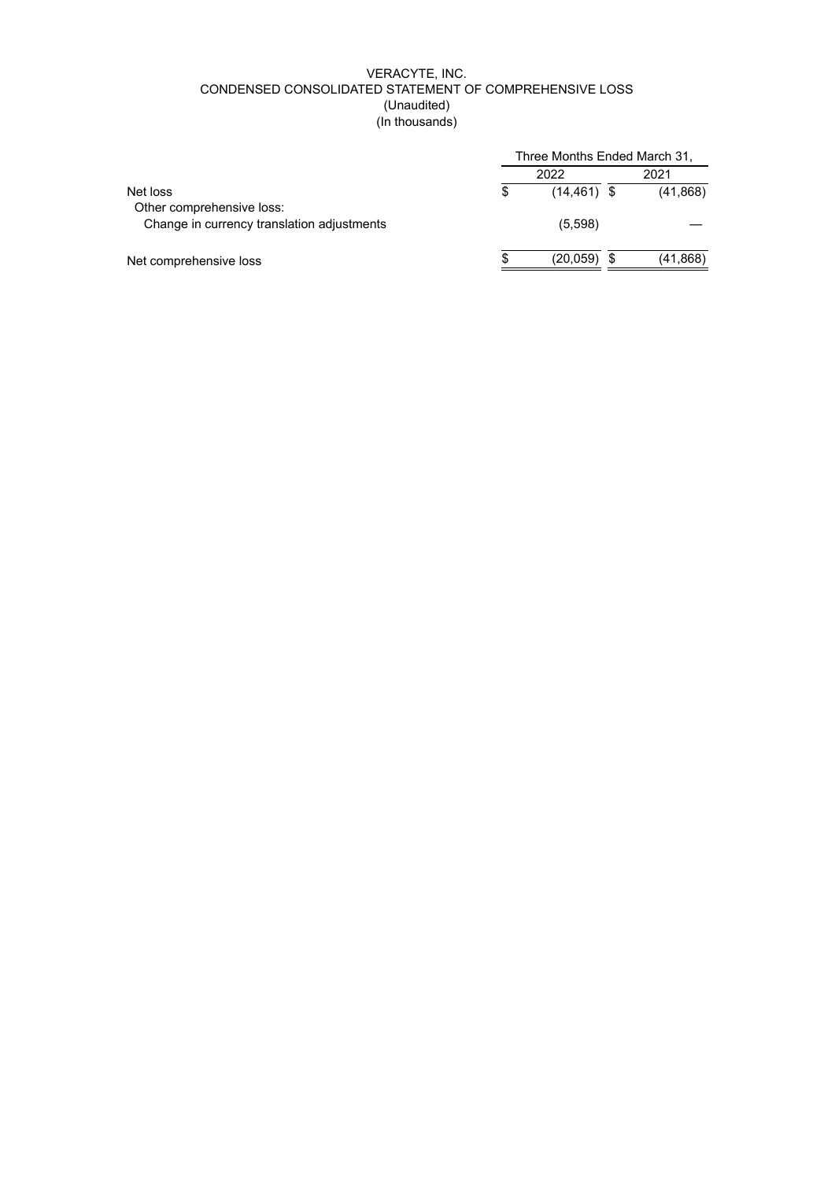# VERACYTE, INC. CONDENSED CONSOLIDATED STATEMENT OF COMPREHENSIVE LOSS (Unaudited) (In thousands)

|                                            | Three Months Ended March 31, |                |      |           |  |  |  |
|--------------------------------------------|------------------------------|----------------|------|-----------|--|--|--|
|                                            |                              | 2022           | 2021 |           |  |  |  |
| Net loss                                   | S                            | $(14, 461)$ \$ |      | (41, 868) |  |  |  |
| Other comprehensive loss:                  |                              |                |      |           |  |  |  |
| Change in currency translation adjustments |                              | (5,598)        |      |           |  |  |  |
|                                            |                              |                |      |           |  |  |  |
| Net comprehensive loss                     |                              | (20, 059)      |      | (41,868)  |  |  |  |
|                                            |                              |                |      |           |  |  |  |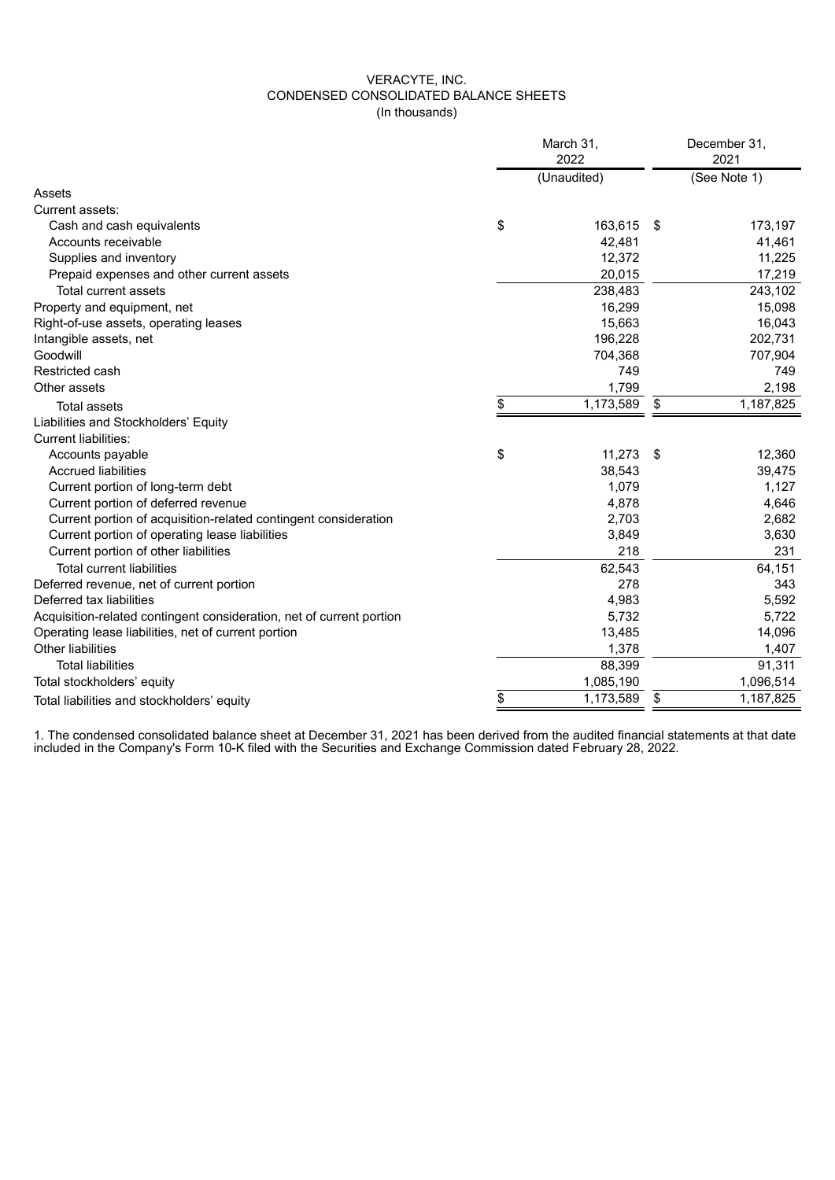# VERACYTE, INC. CONDENSED CONSOLIDATED BALANCE SHEETS (In thousands)

|                                                                      | March 31,<br>2022 |             | December 31.<br>2021 |              |  |
|----------------------------------------------------------------------|-------------------|-------------|----------------------|--------------|--|
|                                                                      |                   | (Unaudited) |                      | (See Note 1) |  |
| Assets                                                               |                   |             |                      |              |  |
| Current assets:                                                      |                   |             |                      |              |  |
| Cash and cash equivalents                                            | \$                | 163,615     | - \$                 | 173,197      |  |
| Accounts receivable                                                  |                   | 42,481      |                      | 41,461       |  |
| Supplies and inventory                                               |                   | 12,372      |                      | 11,225       |  |
| Prepaid expenses and other current assets                            |                   | 20,015      |                      | 17,219       |  |
| Total current assets                                                 |                   | 238,483     |                      | 243,102      |  |
| Property and equipment, net                                          |                   | 16,299      |                      | 15,098       |  |
| Right-of-use assets, operating leases                                |                   | 15,663      |                      | 16,043       |  |
| Intangible assets, net                                               |                   | 196,228     |                      | 202,731      |  |
| Goodwill                                                             |                   | 704,368     |                      | 707,904      |  |
| Restricted cash                                                      |                   | 749         |                      | 749          |  |
| Other assets                                                         |                   | 1,799       |                      | 2,198        |  |
| <b>Total assets</b>                                                  | \$                | 1,173,589   | \$                   | 1,187,825    |  |
| Liabilities and Stockholders' Equity                                 |                   |             |                      |              |  |
| Current liabilities:                                                 |                   |             |                      |              |  |
| Accounts payable                                                     | \$                | 11,273      | - \$                 | 12,360       |  |
| <b>Accrued liabilities</b>                                           |                   | 38,543      |                      | 39,475       |  |
| Current portion of long-term debt                                    |                   | 1,079       |                      | 1,127        |  |
| Current portion of deferred revenue                                  |                   | 4,878       |                      | 4,646        |  |
| Current portion of acquisition-related contingent consideration      |                   | 2,703       |                      | 2,682        |  |
| Current portion of operating lease liabilities                       |                   | 3,849       |                      | 3,630        |  |
| Current portion of other liabilities                                 |                   | 218         |                      | 231          |  |
| <b>Total current liabilities</b>                                     |                   | 62,543      |                      | 64,151       |  |
| Deferred revenue, net of current portion                             |                   | 278         |                      | 343          |  |
| Deferred tax liabilities                                             |                   | 4,983       |                      | 5,592        |  |
| Acquisition-related contingent consideration, net of current portion |                   | 5,732       |                      | 5,722        |  |
| Operating lease liabilities, net of current portion                  |                   | 13,485      |                      | 14,096       |  |
| Other liabilities                                                    |                   | 1,378       |                      | 1,407        |  |
| <b>Total liabilities</b>                                             |                   | 88,399      |                      | 91,311       |  |
| Total stockholders' equity                                           |                   | 1,085,190   |                      | 1,096,514    |  |
| Total liabilities and stockholders' equity                           | \$                | 1,173,589   | \$                   | 1,187,825    |  |

1. The condensed consolidated balance sheet at December 31, 2021 has been derived from the audited financial statements at that date included in the Company's Form 10-K filed with the Securities and Exchange Commission dated February 28, 2022.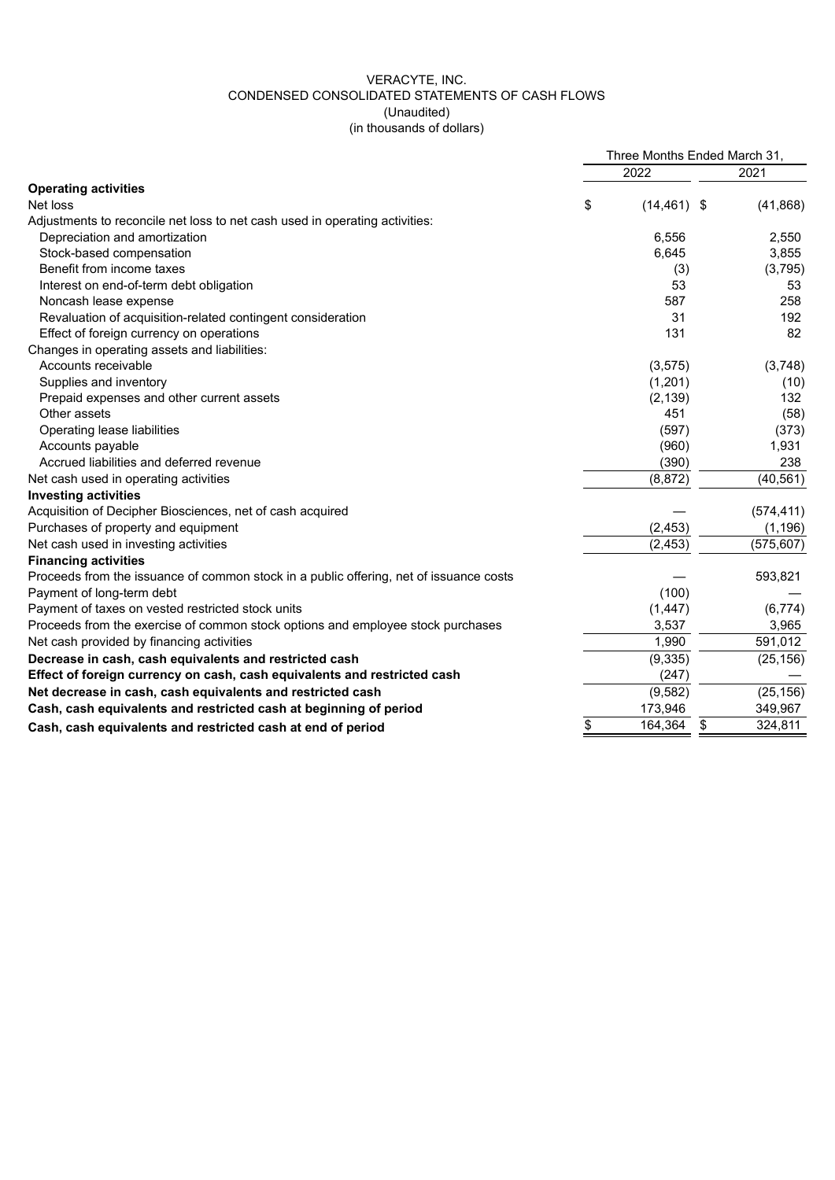# VERACYTE, INC. CONDENSED CONSOLIDATED STATEMENTS OF CASH FLOWS (Unaudited) (in thousands of dollars)

|                                                                                        | Three Months Ended March 31, |                |    |            |
|----------------------------------------------------------------------------------------|------------------------------|----------------|----|------------|
|                                                                                        |                              | 2022           |    | 2021       |
| <b>Operating activities</b>                                                            |                              |                |    |            |
| Net loss                                                                               | \$                           | $(14, 461)$ \$ |    | (41, 868)  |
| Adjustments to reconcile net loss to net cash used in operating activities:            |                              |                |    |            |
| Depreciation and amortization                                                          |                              | 6.556          |    | 2,550      |
| Stock-based compensation                                                               |                              | 6,645          |    | 3,855      |
| Benefit from income taxes                                                              |                              | (3)            |    | (3,795)    |
| Interest on end-of-term debt obligation                                                |                              | 53             |    | 53         |
| Noncash lease expense                                                                  |                              | 587            |    | 258        |
| Revaluation of acquisition-related contingent consideration                            |                              | 31             |    | 192        |
| Effect of foreign currency on operations                                               |                              | 131            |    | 82         |
| Changes in operating assets and liabilities:                                           |                              |                |    |            |
| Accounts receivable                                                                    |                              | (3, 575)       |    | (3,748)    |
| Supplies and inventory                                                                 |                              | (1,201)        |    | (10)       |
| Prepaid expenses and other current assets                                              |                              | (2, 139)       |    | 132        |
| Other assets                                                                           |                              | 451            |    | (58)       |
| Operating lease liabilities                                                            |                              | (597)          |    | (373)      |
| Accounts payable                                                                       |                              | (960)          |    | 1,931      |
| Accrued liabilities and deferred revenue                                               |                              | (390)          |    | 238        |
| Net cash used in operating activities                                                  |                              | (8, 872)       |    | (40, 561)  |
| <b>Investing activities</b>                                                            |                              |                |    |            |
| Acquisition of Decipher Biosciences, net of cash acquired                              |                              |                |    | (574, 411) |
| Purchases of property and equipment                                                    |                              | (2, 453)       |    | (1, 196)   |
| Net cash used in investing activities                                                  |                              | (2, 453)       |    | (575, 607) |
| <b>Financing activities</b>                                                            |                              |                |    |            |
| Proceeds from the issuance of common stock in a public offering, net of issuance costs |                              |                |    | 593,821    |
| Payment of long-term debt                                                              |                              | (100)          |    |            |
| Payment of taxes on vested restricted stock units                                      |                              | (1, 447)       |    | (6,774)    |
| Proceeds from the exercise of common stock options and employee stock purchases        |                              | 3,537          |    | 3,965      |
| Net cash provided by financing activities                                              |                              | 1,990          |    | 591,012    |
| Decrease in cash, cash equivalents and restricted cash                                 |                              | (9, 335)       |    | (25, 156)  |
| Effect of foreign currency on cash, cash equivalents and restricted cash               |                              | (247)          |    |            |
| Net decrease in cash, cash equivalents and restricted cash                             |                              | (9, 582)       |    | (25, 156)  |
| Cash, cash equivalents and restricted cash at beginning of period                      |                              | 173,946        |    | 349,967    |
| Cash, cash equivalents and restricted cash at end of period                            | \$                           | 164,364        | \$ | 324,811    |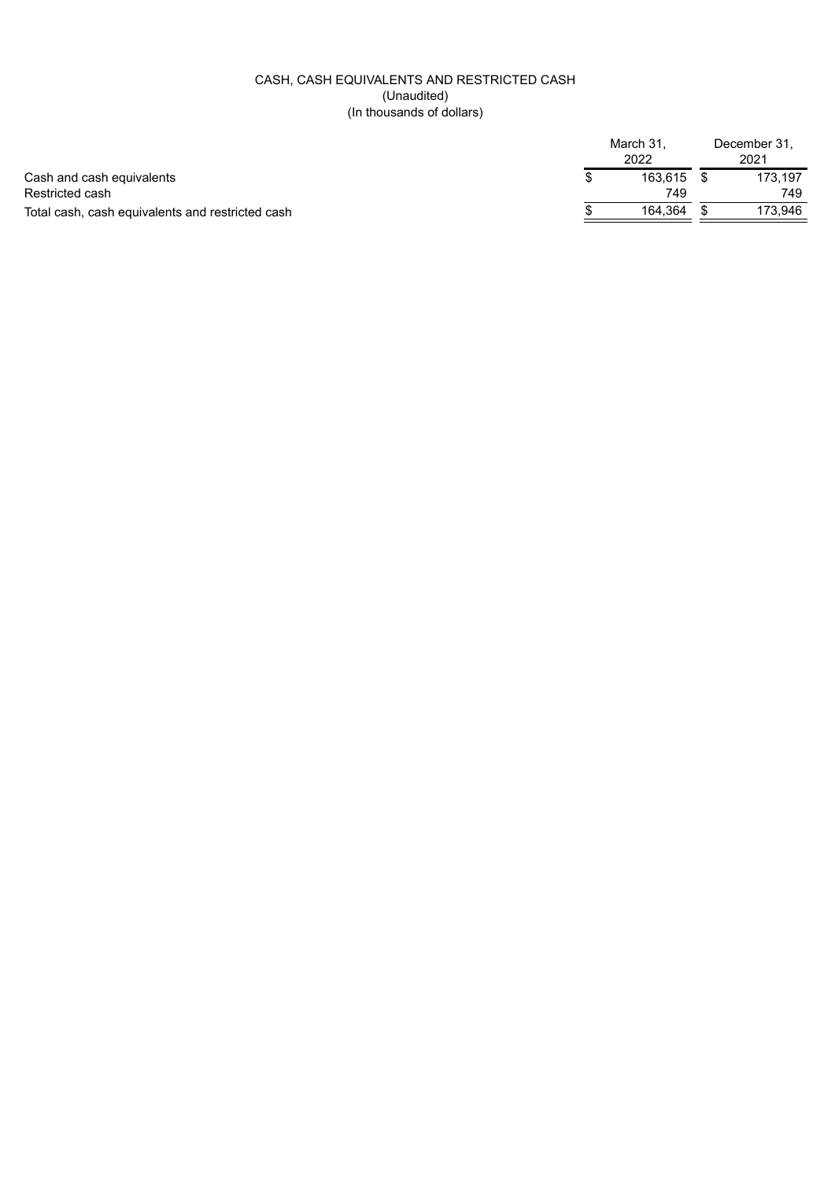# CASH, CASH EQUIVALENTS AND RESTRICTED CASH (Unaudited) (In thousands of dollars)

|                                                  | March 31.<br>2022 | December 31,<br>2021 |         |  |
|--------------------------------------------------|-------------------|----------------------|---------|--|
| Cash and cash equivalents                        | 163.615           |                      | 173.197 |  |
| Restricted cash                                  | 749               |                      | 749     |  |
| Total cash, cash equivalents and restricted cash | 164.364           |                      | 173.946 |  |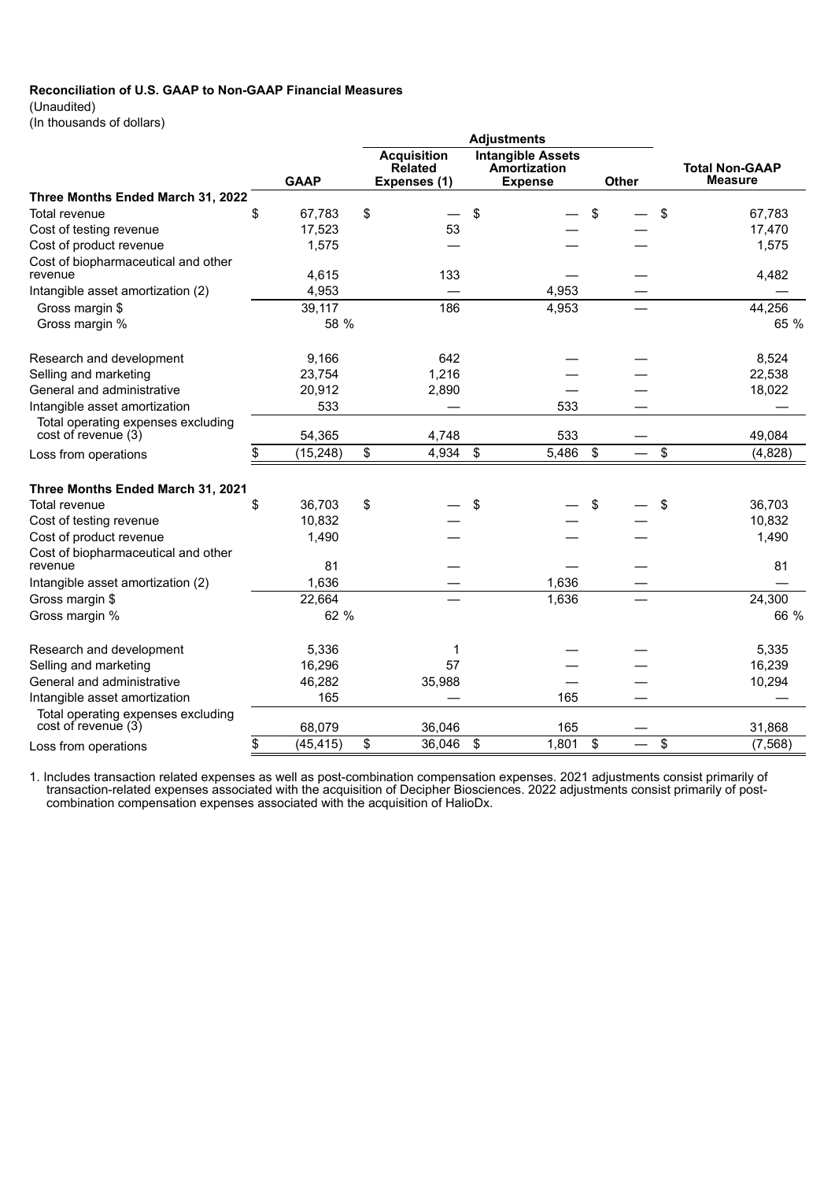# **Reconciliation of U.S. GAAP to Non-GAAP Financial Measures**

(Unaudited)

(In thousands of dollars)

|                                                                |    |               |                                                      |                | <b>Adjustments</b>                                         |          |                                         |
|----------------------------------------------------------------|----|---------------|------------------------------------------------------|----------------|------------------------------------------------------------|----------|-----------------------------------------|
|                                                                |    | <b>GAAP</b>   | <b>Acquisition</b><br><b>Related</b><br>Expenses (1) |                | <b>Intangible Assets</b><br>Amortization<br><b>Expense</b> | Other    | <b>Total Non-GAAP</b><br><b>Measure</b> |
| Three Months Ended March 31, 2022                              |    |               |                                                      |                |                                                            |          |                                         |
| Total revenue                                                  | \$ | 67,783        | \$                                                   | \$             |                                                            | \$<br>\$ | 67,783                                  |
| Cost of testing revenue                                        |    | 17,523        | 53                                                   |                |                                                            |          | 17,470                                  |
| Cost of product revenue                                        |    | 1,575         |                                                      |                |                                                            |          | 1,575                                   |
| Cost of biopharmaceutical and other<br>revenue                 |    | 4,615         | 133                                                  |                |                                                            |          | 4,482                                   |
| Intangible asset amortization (2)                              |    | 4,953         |                                                      |                | 4,953                                                      |          |                                         |
| Gross margin \$                                                |    | 39,117        | 186                                                  |                | 4,953                                                      |          | 44,256                                  |
| Gross margin %                                                 |    | 58 %          |                                                      |                |                                                            |          | 65 %                                    |
|                                                                |    |               | 642                                                  |                |                                                            |          |                                         |
| Research and development                                       |    | 9,166         | 1,216                                                |                |                                                            |          | 8,524                                   |
| Selling and marketing<br>General and administrative            |    | 23,754        | 2,890                                                |                |                                                            |          | 22,538                                  |
| Intangible asset amortization                                  |    | 20,912<br>533 |                                                      |                | 533                                                        |          | 18,022                                  |
| Total operating expenses excluding<br>cost of revenue (3)      |    | 54,365        | 4,748                                                |                | 533                                                        |          | 49,084                                  |
| Loss from operations                                           | \$ | (15, 248)     | \$<br>4,934                                          | $\mathfrak{s}$ | 5,486                                                      | \$<br>\$ | (4,828)                                 |
|                                                                |    |               |                                                      |                |                                                            |          |                                         |
| Three Months Ended March 31, 2021                              |    |               |                                                      |                |                                                            |          |                                         |
| Total revenue                                                  | \$ | 36,703        | \$                                                   | \$             |                                                            | \$<br>\$ | 36,703                                  |
| Cost of testing revenue                                        |    | 10,832        |                                                      |                |                                                            |          | 10,832                                  |
| Cost of product revenue<br>Cost of biopharmaceutical and other |    | 1,490         |                                                      |                |                                                            |          | 1,490                                   |
| revenue                                                        |    | 81            |                                                      |                |                                                            |          | 81                                      |
| Intangible asset amortization (2)                              |    | 1,636         |                                                      |                | 1,636                                                      |          |                                         |
| Gross margin \$                                                |    | 22,664        |                                                      |                | 1,636                                                      |          | 24,300                                  |
| Gross margin %                                                 |    | 62 %          |                                                      |                |                                                            |          | 66 %                                    |
| Research and development                                       |    | 5,336         | 1                                                    |                |                                                            |          | 5,335                                   |
| Selling and marketing                                          |    | 16,296        | 57                                                   |                |                                                            |          | 16,239                                  |
| General and administrative                                     |    | 46,282        | 35,988                                               |                |                                                            |          | 10,294                                  |
| Intangible asset amortization                                  |    | 165           |                                                      |                | 165                                                        |          |                                         |
| Total operating expenses excluding<br>cost of revenue (3)      |    | 68,079        | 36,046                                               |                | 165                                                        |          | 31,868                                  |
| Loss from operations                                           | \$ | (45, 415)     | \$<br>36,046                                         | \$             | 1,801                                                      | \$<br>\$ | (7, 568)                                |

1. Includes transaction related expenses as well as post-combination compensation expenses. 2021 adjustments consist primarily of transaction-related expenses associated with the acquisition of Decipher Biosciences. 2022 adjustments consist primarily of postcombination compensation expenses associated with the acquisition of HalioDx.